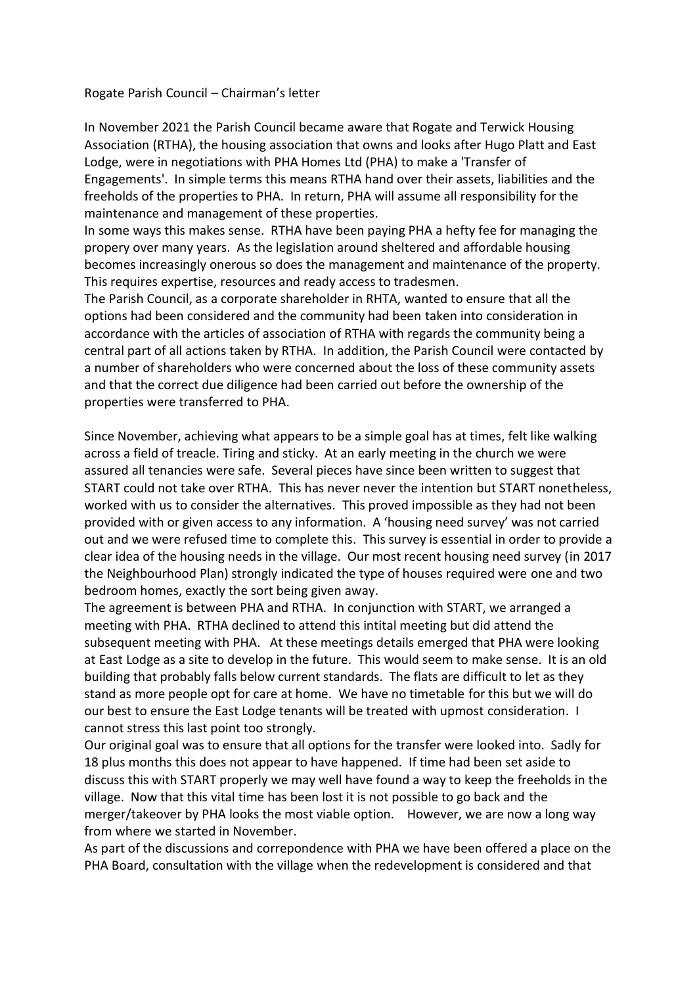## Rogate Parish Council – Chairman's letter

In November 2021 the Parish Council became aware that Rogate and Terwick Housing Association (RTHA), the housing association that owns and looks after Hugo Platt and East Lodge, were in negotiations with PHA Homes Ltd (PHA) to make a 'Transfer of Engagements'. In simple terms this means RTHA hand over their assets, liabilities and the freeholds of the properties to PHA. In return, PHA will assume all responsibility for the maintenance and management of these properties.

In some ways this makes sense. RTHA have been paying PHA a hefty fee for managing the propery over many years. As the legislation around sheltered and affordable housing becomes increasingly onerous so does the management and maintenance of the property. This requires expertise, resources and ready access to tradesmen.

The Parish Council, as a corporate shareholder in RHTA, wanted to ensure that all the options had been considered and the community had been taken into consideration in accordance with the articles of association of RTHA with regards the community being a central part of all actions taken by RTHA. In addition, the Parish Council were contacted by a number of shareholders who were concerned about the loss of these community assets and that the correct due diligence had been carried out before the ownership of the properties were transferred to PHA.

Since November, achieving what appears to be a simple goal has at times, felt like walking across a field of treacle. Tiring and sticky. At an early meeting in the church we were assured all tenancies were safe. Several pieces have since been written to suggest that START could not take over RTHA. This has never never the intention but START nonetheless, worked with us to consider the alternatives. This proved impossible as they had not been provided with or given access to any information. A 'housing need survey' was not carried out and we were refused time to complete this. This survey is essential in order to provide a clear idea of the housing needs in the village. Our most recent housing need survey (in 2017 the Neighbourhood Plan) strongly indicated the type of houses required were one and two bedroom homes, exactly the sort being given away.

The agreement is between PHA and RTHA. In conjunction with START, we arranged a meeting with PHA. RTHA declined to attend this intital meeting but did attend the subsequent meeting with PHA. At these meetings details emerged that PHA were looking at East Lodge as a site to develop in the future. This would seem to make sense. It is an old building that probably falls below current standards. The flats are difficult to let as they stand as more people opt for care at home. We have no timetable for this but we will do our best to ensure the East Lodge tenants will be treated with upmost consideration. I cannot stress this last point too strongly.

Our original goal was to ensure that all options for the transfer were looked into. Sadly for 18 plus months this does not appear to have happened. If time had been set aside to discuss this with START properly we may well have found a way to keep the freeholds in the village. Now that this vital time has been lost it is not possible to go back and the merger/takeover by PHA looks the most viable option. However, we are now a long way from where we started in November.

As part of the discussions and correpondence with PHA we have been offered a place on the PHA Board, consultation with the village when the redevelopment is considered and that